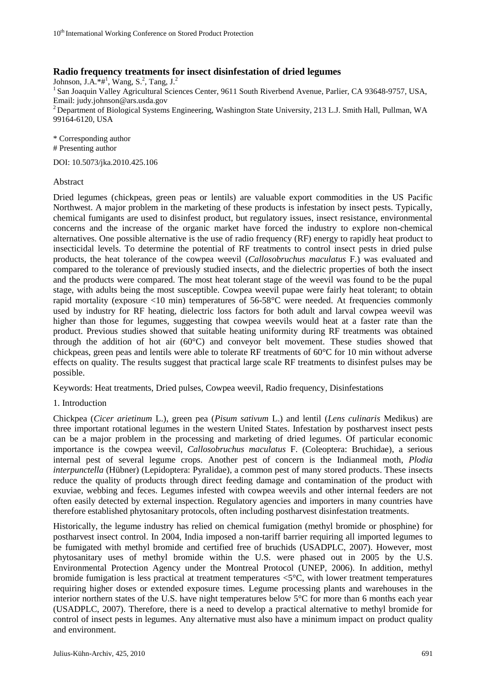# **Radio frequency treatments for insect disinfestation of dried legumes**

Johnson, J.A. $*$ #<sup>1</sup>, Wang, S.<sup>2</sup>, Tang, J.<sup>2</sup> <sup>1</sup> San Joaquin Valley Agricultural Sciences Center, 9611 South Riverbend Avenue, Parlier, CA 93648-9757, USA, Email: [judy.johnson@ars.usda.gov](mailto:judy.johnson@ars.usda.gov) <sup>2</sup> Department of Biological Systems Engineering, Washington State University, 213 L.J. Smith Hall, Pullman, WA 99164-6120, USA

\* Corresponding author # Presenting author

DOI: 10.5073/jka.2010.425.106

## Abstract

Dried legumes (chickpeas, green peas or lentils) are valuable export commodities in the US Pacific Northwest. A major problem in the marketing of these products is infestation by insect pests. Typically, chemical fumigants are used to disinfest product, but regulatory issues, insect resistance, environmental concerns and the increase of the organic market have forced the industry to explore non-chemical alternatives. One possible alternative is the use of radio frequency (RF) energy to rapidly heat product to insecticidal levels. To determine the potential of RF treatments to control insect pests in dried pulse products, the heat tolerance of the cowpea weevil (*Callosobruchus maculatus* F.) was evaluated and compared to the tolerance of previously studied insects, and the dielectric properties of both the insect and the products were compared. The most heat tolerant stage of the weevil was found to be the pupal stage, with adults being the most susceptible. Cowpea weevil pupae were fairly heat tolerant; to obtain rapid mortality (exposure <10 min) temperatures of 56-58°C were needed. At frequencies commonly used by industry for RF heating, dielectric loss factors for both adult and larval cowpea weevil was higher than those for legumes, suggesting that cowpea weevils would heat at a faster rate than the product. Previous studies showed that suitable heating uniformity during RF treatments was obtained through the addition of hot air (60°C) and conveyor belt movement. These studies showed that chickpeas, green peas and lentils were able to tolerate RF treatments of 60°C for 10 min without adverse effects on quality. The results suggest that practical large scale RF treatments to disinfest pulses may be possible.

Keywords: Heat treatments, Dried pulses, Cowpea weevil, Radio frequency, Disinfestations

# 1. Introduction

Chickpea (*Cicer arietinum* L.), green pea (*Pisum sativum* L.) and lentil (*Lens culinaris* Medikus) are three important rotational legumes in the western United States. Infestation by postharvest insect pests can be a major problem in the processing and marketing of dried legumes. Of particular economic importance is the cowpea weevil, *Callosobruchus maculatus* F. (Coleoptera: Bruchidae), a serious internal pest of several legume crops. Another pest of concern is the Indianmeal moth, *Plodia interpunctella* (Hübner) (Lepidoptera: Pyralidae), a common pest of many stored products. These insects reduce the quality of products through direct feeding damage and contamination of the product with exuviae, webbing and feces. Legumes infested with cowpea weevils and other internal feeders are not often easily detected by external inspection. Regulatory agencies and importers in many countries have therefore established phytosanitary protocols, often including postharvest disinfestation treatments.

Historically, the legume industry has relied on chemical fumigation (methyl bromide or phosphine) for postharvest insect control. In 2004, India imposed a non-tariff barrier requiring all imported legumes to be fumigated with methyl bromide and certified free of bruchids (USADPLC, 2007). However, most phytosanitary uses of methyl bromide within the U.S. were phased out in 2005 by the U.S. Environmental Protection Agency under the Montreal Protocol (UNEP, 2006). In addition, methyl bromide fumigation is less practical at treatment temperatures <5°C, with lower treatment temperatures requiring higher doses or extended exposure times. Legume processing plants and warehouses in the interior northern states of the U.S. have night temperatures below 5°C for more than 6 months each year (USADPLC, 2007). Therefore, there is a need to develop a practical alternative to methyl bromide for control of insect pests in legumes. Any alternative must also have a minimum impact on product quality and environment.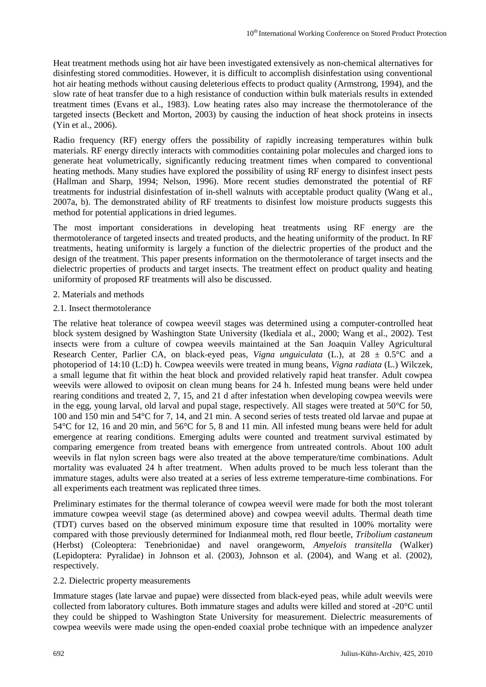Heat treatment methods using hot air have been investigated extensively as non-chemical alternatives for disinfesting stored commodities. However, it is difficult to accomplish disinfestation using conventional hot air heating methods without causing deleterious effects to product quality (Armstrong, 1994), and the slow rate of heat transfer due to a high resistance of conduction within bulk materials results in extended treatment times (Evans et al., 1983). Low heating rates also may increase the thermotolerance of the targeted insects (Beckett and Morton, 2003) by causing the induction of heat shock proteins in insects (Yin et al., 2006).

Radio frequency (RF) energy offers the possibility of rapidly increasing temperatures within bulk materials. RF energy directly interacts with commodities containing polar molecules and charged ions to generate heat volumetrically, significantly reducing treatment times when compared to conventional heating methods. Many studies have explored the possibility of using RF energy to disinfest insect pests (Hallman and Sharp, 1994; Nelson, 1996). More recent studies demonstrated the potential of RF treatments for industrial disinfestation of in-shell walnuts with acceptable product quality (Wang et al., 2007a, b). The demonstrated ability of RF treatments to disinfest low moisture products suggests this method for potential applications in dried legumes.

The most important considerations in developing heat treatments using RF energy are the thermotolerance of targeted insects and treated products, and the heating uniformity of the product. In RF treatments, heating uniformity is largely a function of the dielectric properties of the product and the design of the treatment. This paper presents information on the thermotolerance of target insects and the dielectric properties of products and target insects. The treatment effect on product quality and heating uniformity of proposed RF treatments will also be discussed.

- 2. Materials and methods
- 2.1. Insect thermotolerance

The relative heat tolerance of cowpea weevil stages was determined using a computer-controlled heat block system designed by Washington State University (Ikediala et al., 2000; Wang et al., 2002). Test insects were from a culture of cowpea weevils maintained at the San Joaquin Valley Agricultural Research Center, Parlier CA, on black-eyed peas, *Vigna unguiculata* (L.), at 28 ± 0.5°C and a photoperiod of 14:10 (L:D) h. Cowpea weevils were treated in mung beans, *Vigna radiata* (L.) Wilczek, a small legume that fit within the heat block and provided relatively rapid heat transfer. Adult cowpea weevils were allowed to oviposit on clean mung beans for 24 h. Infested mung beans were held under rearing conditions and treated 2, 7, 15, and 21 d after infestation when developing cowpea weevils were in the egg, young larval, old larval and pupal stage, respectively. All stages were treated at 50°C for 50, 100 and 150 min and 54°C for 7, 14, and 21 min. A second series of tests treated old larvae and pupae at 54°C for 12, 16 and 20 min, and 56°C for 5, 8 and 11 min. All infested mung beans were held for adult emergence at rearing conditions. Emerging adults were counted and treatment survival estimated by comparing emergence from treated beans with emergence from untreated controls. About 100 adult weevils in flat nylon screen bags were also treated at the above temperature/time combinations. Adult mortality was evaluated 24 h after treatment. When adults proved to be much less tolerant than the immature stages, adults were also treated at a series of less extreme temperature-time combinations. For all experiments each treatment was replicated three times.

Preliminary estimates for the thermal tolerance of cowpea weevil were made for both the most tolerant immature cowpea weevil stage (as determined above) and cowpea weevil adults. Thermal death time (TDT) curves based on the observed minimum exposure time that resulted in 100% mortality were compared with those previously determined for Indianmeal moth, red flour beetle, *Tribolium castaneum* (Herbst) (Coleoptera: Tenebrionidae) and navel orangeworm, *Amyelois transitella* (Walker) (Lepidoptera: Pyralidae) in Johnson et al. (2003), Johnson et al. (2004), and Wang et al. (2002), respectively.

# 2.2. Dielectric property measurements

Immature stages (late larvae and pupae) were dissected from black-eyed peas, while adult weevils were collected from laboratory cultures. Both immature stages and adults were killed and stored at -20°C until they could be shipped to Washington State University for measurement. Dielectric measurements of cowpea weevils were made using the open-ended coaxial probe technique with an impedence analyzer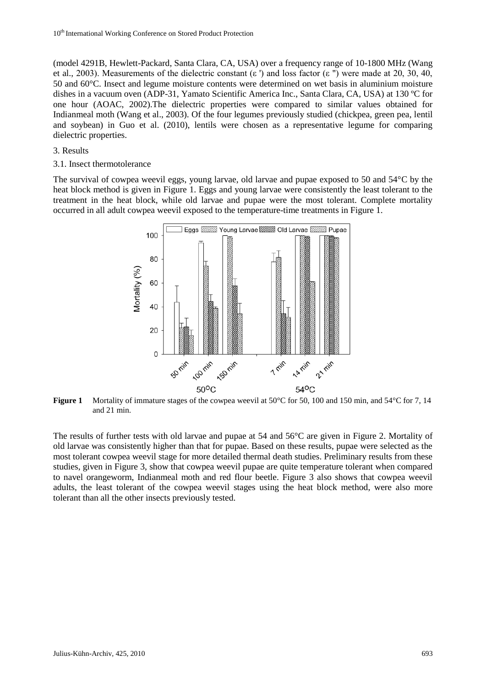(model 4291B, Hewlett-Packard, Santa Clara, CA, USA) over a frequency range of 10-1800 MHz (Wang et al., 2003). Measurements of the dielectric constant (ε') and loss factor (ε'') were made at 20, 30, 40, 50 and 60°C. Insect and legume moisture contents were determined on wet basis in aluminium moisture dishes in a vacuum oven (ADP-31, Yamato Scientific America Inc., Santa Clara, CA, USA) at 130 ºC for one hour (AOAC, 2002).The dielectric properties were compared to similar values obtained for Indianmeal moth (Wang et al., 2003). Of the four legumes previously studied (chickpea, green pea, lentil and soybean) in Guo et al. (2010), lentils were chosen as a representative legume for comparing dielectric properties.

#### 3. Results

3.1. Insect thermotolerance

The survival of cowpea weevil eggs, young larvae, old larvae and pupae exposed to 50 and 54°C by the heat block method is given in Figure 1. Eggs and young larvae were consistently the least tolerant to the treatment in the heat block, while old larvae and pupae were the most tolerant. Complete mortality occurred in all adult cowpea weevil exposed to the temperature-time treatments in Figure 1.



**Figure 1** Mortality of immature stages of the cowpea weevil at 50°C for 50, 100 and 150 min, and 54°C for 7, 14 and 21 min.

The results of further tests with old larvae and pupae at 54 and 56°C are given in Figure 2. Mortality of old larvae was consistently higher than that for pupae. Based on these results, pupae were selected as the most tolerant cowpea weevil stage for more detailed thermal death studies. Preliminary results from these studies, given in Figure 3, show that cowpea weevil pupae are quite temperature tolerant when compared to navel orangeworm, Indianmeal moth and red flour beetle. Figure 3 also shows that cowpea weevil adults, the least tolerant of the cowpea weevil stages using the heat block method, were also more tolerant than all the other insects previously tested.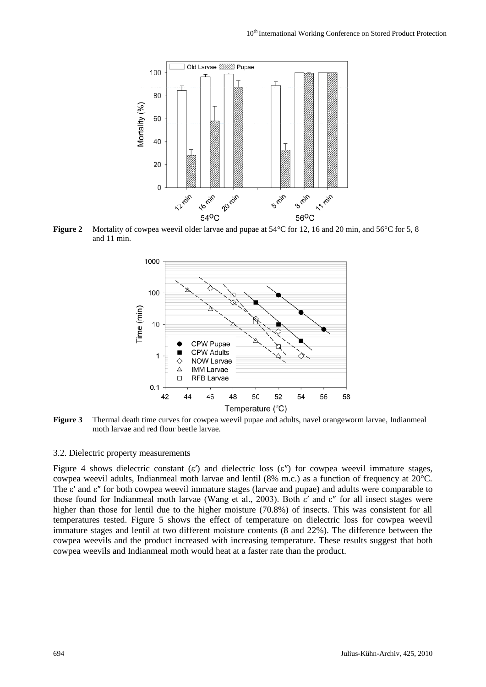

**Figure 2** Mortality of cowpea weevil older larvae and pupae at 54 °C for 12, 16 and 20 min, and 56 °C for 5, 8 and 11 min.



**Figure 3** Thermal death time curves for cowpea weevil pupae and adults, navel orangeworm larvae, Indianmeal moth larvae and red flour beetle larvae.

## 3.2. Dielectric property measurements

Figure 4 shows dielectric constant (ε') and dielectric loss (ε'') for cowpea weevil immature stages, cowpea weevil adults, Indianmeal moth larvae and lentil (8% m.c.) as a function of frequency at 20°C. The ε′ and ε″ for both cowpea weevil immature stages (larvae and pupae) and adults were comparable to those found for Indianmeal moth larvae (Wang et al., 2003). Both ε′ and ε″ for all insect stages were higher than those for lentil due to the higher moisture (70.8%) of insects. This was consistent for all temperatures tested. Figure 5 shows the effect of temperature on dielectric loss for cowpea weevil immature stages and lentil at two different moisture contents (8 and 22%). The difference between the cowpea weevils and the product increased with increasing temperature. These results suggest that both cowpea weevils and Indianmeal moth would heat at a faster rate than the product.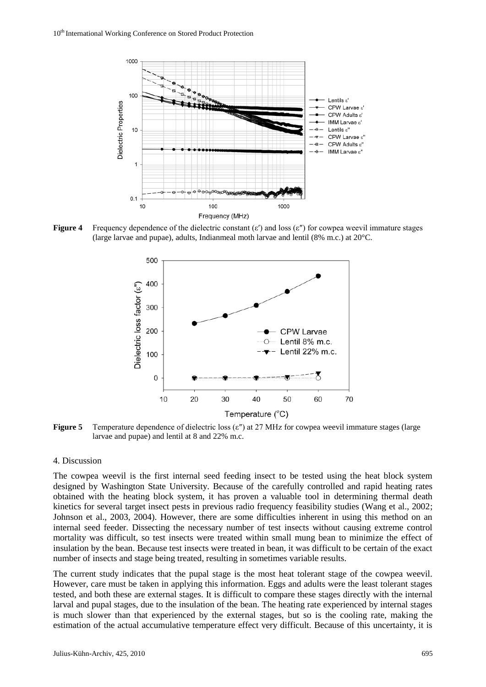

**Figure 4** Frequency dependence of the dielectric constant (ε′) and loss (ε″) for cowpea weevil immature stages (large larvae and pupae), adults, Indianmeal moth larvae and lentil (8% m.c.) at 20°C.



**Figure 5** Temperature dependence of dielectric loss (ε<sup>"</sup>) at 27 MHz for cowpea weevil immature stages (large larvae and pupae) and lentil at 8 and 22% m.c.

### 4. Discussion

The cowpea weevil is the first internal seed feeding insect to be tested using the heat block system designed by Washington State University. Because of the carefully controlled and rapid heating rates obtained with the heating block system, it has proven a valuable tool in determining thermal death kinetics for several target insect pests in previous radio frequency feasibility studies (Wang et al., 2002; Johnson et al., 2003, 2004). However, there are some difficulties inherent in using this method on an internal seed feeder. Dissecting the necessary number of test insects without causing extreme control mortality was difficult, so test insects were treated within small mung bean to minimize the effect of insulation by the bean. Because test insects were treated in bean, it was difficult to be certain of the exact number of insects and stage being treated, resulting in sometimes variable results.

The current study indicates that the pupal stage is the most heat tolerant stage of the cowpea weevil. However, care must be taken in applying this information. Eggs and adults were the least tolerant stages tested, and both these are external stages. It is difficult to compare these stages directly with the internal larval and pupal stages, due to the insulation of the bean. The heating rate experienced by internal stages is much slower than that experienced by the external stages, but so is the cooling rate, making the estimation of the actual accumulative temperature effect very difficult. Because of this uncertainty, it is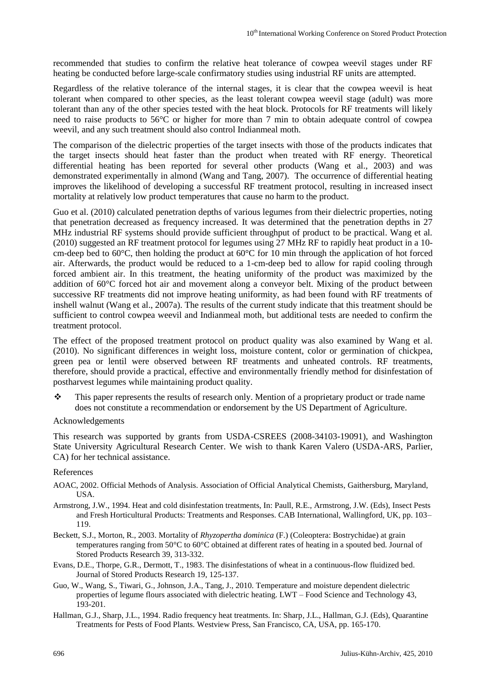recommended that studies to confirm the relative heat tolerance of cowpea weevil stages under RF heating be conducted before large-scale confirmatory studies using industrial RF units are attempted.

Regardless of the relative tolerance of the internal stages, it is clear that the cowpea weevil is heat tolerant when compared to other species, as the least tolerant cowpea weevil stage (adult) was more tolerant than any of the other species tested with the heat block. Protocols for RF treatments will likely need to raise products to 56°C or higher for more than 7 min to obtain adequate control of cowpea weevil, and any such treatment should also control Indianmeal moth.

The comparison of the dielectric properties of the target insects with those of the products indicates that the target insects should heat faster than the product when treated with RF energy. Theoretical differential heating has been reported for several other products (Wang et al., 2003) and was demonstrated experimentally in almond (Wang and Tang, 2007). The occurrence of differential heating improves the likelihood of developing a successful RF treatment protocol, resulting in increased insect mortality at relatively low product temperatures that cause no harm to the product.

Guo et al. (2010) calculated penetration depths of various legumes from their dielectric properties, noting that penetration decreased as frequency increased. It was determined that the penetration depths in 27 MHz industrial RF systems should provide sufficient throughput of product to be practical. Wang et al. (2010) suggested an RF treatment protocol for legumes using 27 MHz RF to rapidly heat product in a 10 cm-deep bed to 60°C, then holding the product at 60°C for 10 min through the application of hot forced air. Afterwards, the product would be reduced to a 1-cm-deep bed to allow for rapid cooling through forced ambient air. In this treatment, the heating uniformity of the product was maximized by the addition of 60°C forced hot air and movement along a conveyor belt. Mixing of the product between successive RF treatments did not improve heating uniformity, as had been found with RF treatments of inshell walnut (Wang et al., 2007a). The results of the current study indicate that this treatment should be sufficient to control cowpea weevil and Indianmeal moth, but additional tests are needed to confirm the treatment protocol.

The effect of the proposed treatment protocol on product quality was also examined by Wang et al. (2010). No significant differences in weight loss, moisture content, color or germination of chickpea, green pea or lentil were observed between RF treatments and unheated controls. RF treatments, therefore, should provide a practical, effective and environmentally friendly method for disinfestation of postharvest legumes while maintaining product quality.

 This paper represents the results of research only. Mention of a proprietary product or trade name does not constitute a recommendation or endorsement by the US Department of Agriculture.

### Acknowledgements

This research was supported by grants from USDA-CSREES (2008-34103-19091), and Washington State University Agricultural Research Center. We wish to thank Karen Valero (USDA-ARS, Parlier, CA) for her technical assistance.

### References

- AOAC, 2002. Official Methods of Analysis. Association of Official Analytical Chemists, Gaithersburg, Maryland, **USA**
- Armstrong, J.W., 1994. Heat and cold disinfestation treatments, In: Paull, R.E., Armstrong, J.W. (Eds), Insect Pests and Fresh Horticultural Products: Treatments and Responses. CAB International, Wallingford, UK, pp. 103– 119.
- Beckett, S.J., Morton, R., 2003. Mortality of *Rhyzopertha dominica* (F.) (Coleoptera: Bostrychidae) at grain temperatures ranging from 50°C to 60°C obtained at different rates of heating in a spouted bed. Journal of Stored Products Research 39, 313-332.
- Evans, D.E., Thorpe, G.R., Dermott, T., 1983. The disinfestations of wheat in a continuous-flow fluidized bed. Journal of Stored Products Research 19, 125-137.
- Guo, W., Wang, S., Tiwari, G., Johnson, J.A., Tang, J., 2010. Temperature and moisture dependent dielectric properties of legume flours associated with dielectric heating. LWT – Food Science and Technology 43, 193-201.
- Hallman, G.J., Sharp, J.L., 1994. Radio frequency heat treatments. In: Sharp, J.L., Hallman, G.J. (Eds), Quarantine Treatments for Pests of Food Plants. Westview Press, San Francisco, CA, USA, pp. 165-170.